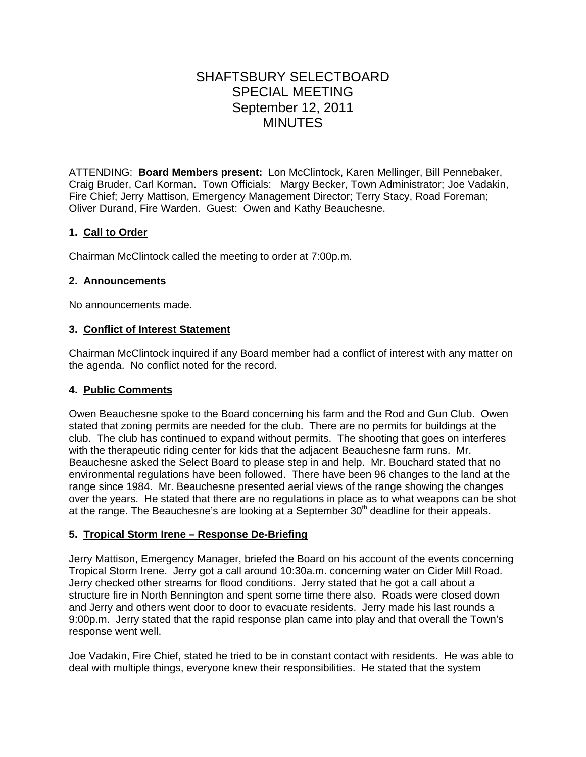# SHAFTSBURY SELECTBOARD SPECIAL MEETING September 12, 2011 MINUTES

ATTENDING: **Board Members present:** Lon McClintock, Karen Mellinger, Bill Pennebaker, Craig Bruder, Carl Korman. Town Officials: Margy Becker, Town Administrator; Joe Vadakin, Fire Chief; Jerry Mattison, Emergency Management Director; Terry Stacy, Road Foreman; Oliver Durand, Fire Warden. Guest: Owen and Kathy Beauchesne.

# **1. Call to Order**

Chairman McClintock called the meeting to order at 7:00p.m.

## **2. Announcements**

No announcements made.

#### **3. Conflict of Interest Statement**

Chairman McClintock inquired if any Board member had a conflict of interest with any matter on the agenda. No conflict noted for the record.

## **4. Public Comments**

Owen Beauchesne spoke to the Board concerning his farm and the Rod and Gun Club. Owen stated that zoning permits are needed for the club. There are no permits for buildings at the club. The club has continued to expand without permits. The shooting that goes on interferes with the therapeutic riding center for kids that the adjacent Beauchesne farm runs. Mr. Beauchesne asked the Select Board to please step in and help. Mr. Bouchard stated that no environmental regulations have been followed. There have been 96 changes to the land at the range since 1984. Mr. Beauchesne presented aerial views of the range showing the changes over the years. He stated that there are no regulations in place as to what weapons can be shot at the range. The Beauchesne's are looking at a September  $30<sup>th</sup>$  deadline for their appeals.

## **5. Tropical Storm Irene – Response De-Briefing**

Jerry Mattison, Emergency Manager, briefed the Board on his account of the events concerning Tropical Storm Irene. Jerry got a call around 10:30a.m. concerning water on Cider Mill Road. Jerry checked other streams for flood conditions. Jerry stated that he got a call about a structure fire in North Bennington and spent some time there also. Roads were closed down and Jerry and others went door to door to evacuate residents. Jerry made his last rounds a 9:00p.m. Jerry stated that the rapid response plan came into play and that overall the Town's response went well.

Joe Vadakin, Fire Chief, stated he tried to be in constant contact with residents. He was able to deal with multiple things, everyone knew their responsibilities. He stated that the system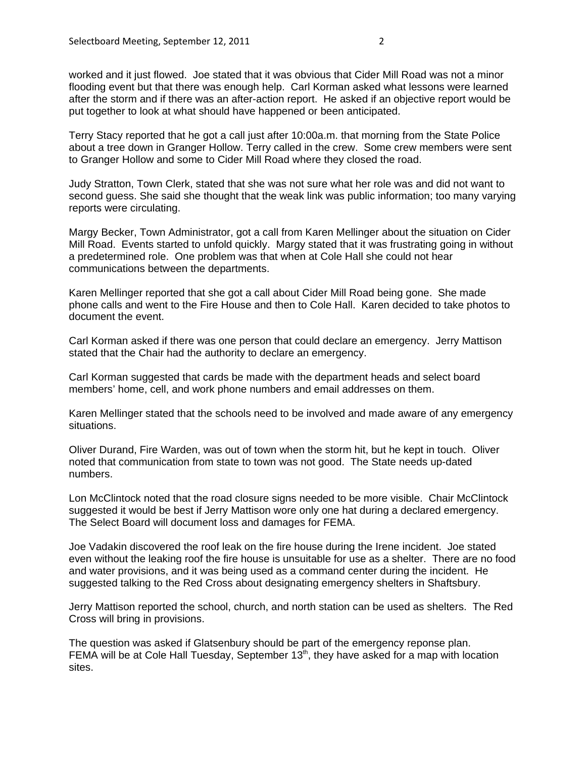worked and it just flowed. Joe stated that it was obvious that Cider Mill Road was not a minor flooding event but that there was enough help. Carl Korman asked what lessons were learned after the storm and if there was an after-action report. He asked if an objective report would be put together to look at what should have happened or been anticipated.

Terry Stacy reported that he got a call just after 10:00a.m. that morning from the State Police about a tree down in Granger Hollow. Terry called in the crew. Some crew members were sent to Granger Hollow and some to Cider Mill Road where they closed the road.

Judy Stratton, Town Clerk, stated that she was not sure what her role was and did not want to second guess. She said she thought that the weak link was public information; too many varying reports were circulating.

Margy Becker, Town Administrator, got a call from Karen Mellinger about the situation on Cider Mill Road. Events started to unfold quickly. Margy stated that it was frustrating going in without a predetermined role. One problem was that when at Cole Hall she could not hear communications between the departments.

Karen Mellinger reported that she got a call about Cider Mill Road being gone. She made phone calls and went to the Fire House and then to Cole Hall. Karen decided to take photos to document the event.

Carl Korman asked if there was one person that could declare an emergency. Jerry Mattison stated that the Chair had the authority to declare an emergency.

Carl Korman suggested that cards be made with the department heads and select board members' home, cell, and work phone numbers and email addresses on them.

Karen Mellinger stated that the schools need to be involved and made aware of any emergency situations.

Oliver Durand, Fire Warden, was out of town when the storm hit, but he kept in touch. Oliver noted that communication from state to town was not good. The State needs up-dated numbers.

Lon McClintock noted that the road closure signs needed to be more visible. Chair McClintock suggested it would be best if Jerry Mattison wore only one hat during a declared emergency. The Select Board will document loss and damages for FEMA.

Joe Vadakin discovered the roof leak on the fire house during the Irene incident. Joe stated even without the leaking roof the fire house is unsuitable for use as a shelter. There are no food and water provisions, and it was being used as a command center during the incident. He suggested talking to the Red Cross about designating emergency shelters in Shaftsbury.

Jerry Mattison reported the school, church, and north station can be used as shelters. The Red Cross will bring in provisions.

The question was asked if Glatsenbury should be part of the emergency reponse plan. FEMA will be at Cole Hall Tuesday, September  $13<sup>th</sup>$ , they have asked for a map with location sites.